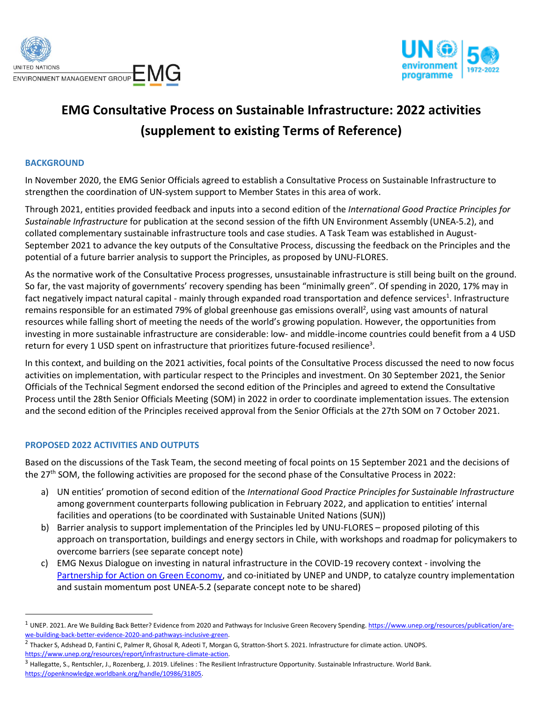



## **EMG Consultative Process on Sustainable Infrastructure: 2022 activities (supplement to existing Terms of Reference)**

## **BACKGROUND**

In November 2020, the EMG Senior Officials agreed to establish a Consultative Process on Sustainable Infrastructure to strengthen the coordination of UN-system support to Member States in this area of work.

Through 2021, entities provided feedback and inputs into a second edition of the *International Good Practice Principles for Sustainable Infrastructure* for publication at the second session of the fifth UN Environment Assembly (UNEA-5.2), and collated complementary sustainable infrastructure tools and case studies. A Task Team was established in August-September 2021 to advance the key outputs of the Consultative Process, discussing the feedback on the Principles and the potential of a future barrier analysis to support the Principles, as proposed by UNU-FLORES.

As the normative work of the Consultative Process progresses, unsustainable infrastructure is still being built on the ground. So far, the vast majority of governments' recovery spending has been "minimally green". Of spending in 2020, 17% may in fact negatively impact natural capital - mainly through expanded road transportation and defence services<sup>1</sup>. Infrastructure remains responsible for an estimated 79% of global greenhouse gas emissions overall<sup>2</sup>, using vast amounts of natural resources while falling short of meeting the needs of the world's growing population. However, the opportunities from investing in more sustainable infrastructure are considerable: low- and middle-income countries could benefit from a 4 USD return for every 1 USD spent on infrastructure that prioritizes future-focused resilience<sup>3</sup>.

In this context, and building on the 2021 activities, focal points of the Consultative Process discussed the need to now focus activities on implementation, with particular respect to the Principles and investment. On 30 September 2021, the Senior Officials of the Technical Segment endorsed the second edition of the Principles and agreed to extend the Consultative Process until the 28th Senior Officials Meeting (SOM) in 2022 in order to coordinate implementation issues. The extension and the second edition of the Principles received approval from the Senior Officials at the 27th SOM on 7 October 2021.

## **PROPOSED 2022 ACTIVITIES AND OUTPUTS**

Based on the discussions of the Task Team, the second meeting of focal points on 15 September 2021 and the decisions of the 27<sup>th</sup> SOM, the following activities are proposed for the second phase of the Consultative Process in 2022:

- a) UN entities' promotion of second edition of the *International Good Practice Principles for Sustainable Infrastructure* among government counterparts following publication in February 2022, and application to entities' internal facilities and operations (to be coordinated with Sustainable United Nations (SUN))
- b) Barrier analysis to support implementation of the Principles led by UNU-FLORES proposed piloting of this approach on transportation, buildings and energy sectors in Chile, with workshops and roadmap for policymakers to overcome barriers (see separate concept note)
- c) EMG Nexus Dialogue on investing in natural infrastructure in the COVID-19 recovery context involving the [Partnership for Action on Green Economy,](https://www.un-page.org/) and co-initiated by UNEP and UNDP, to catalyze country implementation and sustain momentum post UNEA-5.2 (separate concept note to be shared)

<sup>&</sup>lt;sup>1</sup> UNEP. 2021. Are We Building Back Better? Evidence from 2020 and Pathways for Inclusive Green Recovery Spending[. https://www.unep.org/resources/publication/are](https://www.unep.org/resources/publication/are-we-building-back-better-evidence-2020-and-pathways-inclusive-green)[we-building-back-better-evidence-2020-and-pathways-inclusive-green.](https://www.unep.org/resources/publication/are-we-building-back-better-evidence-2020-and-pathways-inclusive-green)

<sup>&</sup>lt;sup>2</sup> Thacker S, Adshead D, Fantini C, Palmer R, Ghosal R, Adeoti T, Morgan G, Stratton-Short S. 2021. Infrastructure for climate action. UNOPS. [https://www.unep.org/resources/report/infrastructure-climate-action.](https://www.unep.org/resources/report/infrastructure-climate-action) 

 $^3$  Hallegatte, S., Rentschler, J., Rozenberg, J. 2019. Lifelines : The Resilient Infrastructure Opportunity. Sustainable Infrastructure. World Bank. [https://openknowledge.worldbank.org/handle/10986/31805.](https://openknowledge.worldbank.org/handle/10986/31805)